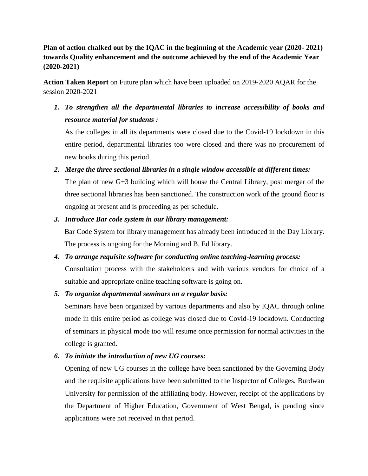**Plan of action chalked out by the IQAC in the beginning of the Academic year (2020- 2021) towards Quality enhancement and the outcome achieved by the end of the Academic Year (2020-2021)**

**Action Taken Report** on Future plan which have been uploaded on 2019-2020 AQAR for the session 2020-2021

*1. To strengthen all the departmental libraries to increase accessibility of books and resource material for students :* 

As the colleges in all its departments were closed due to the Covid-19 lockdown in this entire period, departmental libraries too were closed and there was no procurement of new books during this period.

*2. Merge the three sectional libraries in a single window accessible at different times:*

The plan of new G+3 building which will house the Central Library, post merger of the three sectional libraries has been sanctioned. The construction work of the ground floor is ongoing at present and is proceeding as per schedule.

## *3. Introduce Bar code system in our library management:*

Bar Code System for library management has already been introduced in the Day Library. The process is ongoing for the Morning and B. Ed library.

*4. To arrange requisite software for conducting online teaching-learning process:* Consultation process with the stakeholders and with various vendors for choice of a

suitable and appropriate online teaching software is going on.

## *5. To organize departmental seminars on a regular basis:*

Seminars have been organized by various departments and also by IQAC through online mode in this entire period as college was closed due to Covid-19 lockdown. Conducting of seminars in physical mode too will resume once permission for normal activities in the college is granted.

*6. To initiate the introduction of new UG courses:*

Opening of new UG courses in the college have been sanctioned by the Governing Body and the requisite applications have been submitted to the Inspector of Colleges, Burdwan University for permission of the affiliating body. However, receipt of the applications by the Department of Higher Education, Government of West Bengal, is pending since applications were not received in that period.